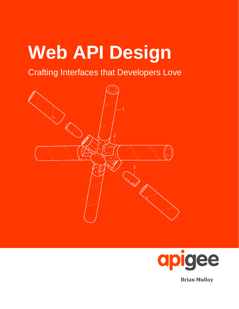# **Web API Design**

## Crafting Interfaces that Developers Love





**Brian Mulloy**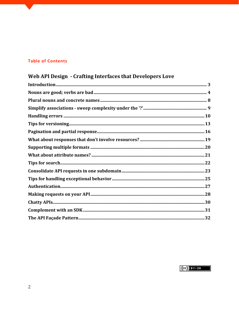## **Table of Contents**

## Web API Design - Crafting Interfaces that Developers Love

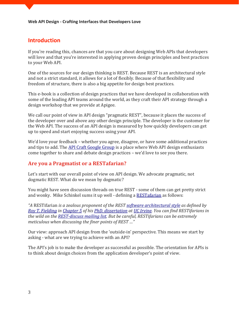## **Introduction**

If you're reading this, chances are that you care about designing Web APIs that developers will love and that you're interested in applying proven design principles and best practices to your Web API.

One of the sources for our design thinking is REST. Because REST is an architectural style and not a strict standard, it allows for a lot of flexibly. Because of that flexibility and freedom of structure, there is also a big appetite for design best practices.

This e-book is a collection of design practices that we have developed in collaboration with some of the leading API teams around the world, as they craft their API strategy through a design workshop that we provide at Apigee.

We call our point of view in API design "pragmatic REST", because it places the success of the developer over and above any other design principle. The developer is the customer for the Web API. The success of an API design is measured by how quickly developers can get up to speed and start enjoying success using your API.

We'd love your feedback – whether you agree, disagree, or have some additional practices and tips to add. The [API Craft Google Group](https://groups.google.com/forum/?fromgroups#!forum/api-craft) is a place where Web API design enthusiasts come together to share and debate design practices – we'd love to see you there.

## **[Are you a Pragmatist or a RESTafarian?](http://blog.apigee.com/taglist/RESTful)**

Let's start with our overall point of view on API design. We advocate pragmatic, not dogmatic REST. What do we mean by dogmatic?

You might have seen discussion threads on true REST - some of them can get pretty strict and wonky. Mike Schinkel sums it up well - defining a [RESTafarian](http://mikeschinkel.com/blog/whatisarestafarian/) as follows:

*"A* RESTifarian *is a zealous proponent of the REST [software architectural style](http://www.ics.uci.edu/~fielding/pubs/dissertation/abstract.htm) as defined by [Roy T. Fielding](http://roy.gbiv.com/) i[n Chapter 5](http://www.ics.uci.edu/~fielding/pubs/dissertation/rest_arch_style.htm) of his [PhD. dissertation](http://www.ics.uci.edu/~fielding/pubs/dissertation/top.htm) at UC [Irvine.](http://www.ics.uci.edu/) You can find RESTifarians in the wild on th[e REST-discuss mailing list.](http://tech.groups.yahoo.com/group/rest-discuss/) But be careful, RESTifarians can be extremely meticulous when discussing the finer points of REST …"*

Our view: approach API design from the 'outside-in' perspective. This means we start by asking - what are we trying to achieve with an API?

The API's job is to make the developer as successful as possible. The orientation for APIs is to think about design choices from the application developer's point of view.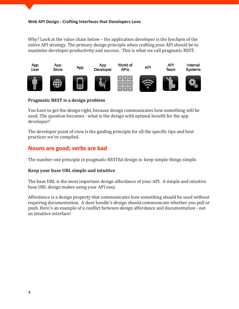Why? Look at the value chain below – the application developer is the lynchpin of the entire API strategy. The primary design principle when crafting your API should be to maximize developer productivity and success. This is what we call pragmatic REST.



#### **Pragmatic REST is a design problem**

You have to get the design right, because design communicates how something will be used. The question becomes - what is the design with optimal benefit for the app developer?

The developer point of view is the guiding principle for all the specific tips and best practices we've compiled.

## **Nouns are good; verbs are bad**

The number one principle in pragmatic RESTful design is: keep simple things simple.

#### **Keep your base URL simple and intuitive**

The base URL is the most important design affordance of your API. A simple and intuitive base URL design makes using your API easy.

Affordance is a design property that communicates how something should be used without requiring documentation. A door handle's design should communicate whether you pull or push. Here's an example of a conflict between design affordance and documentation - not an intuitive interface!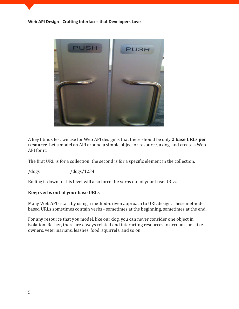

A key litmus test we use for Web API design is that there should be only **2 base URLs per resource**. Let's model an API around a simple object or resource, a dog, and create a Web API for it.

The first URL is for a collection; the second is for a specific element in the collection.

/dogs /dogs/1234

Boiling it down to this level will also force the verbs out of your base URLs.

#### **Keep verbs out of your base URLs**

Many Web APIs start by using a method-driven approach to URL design. These methodbased URLs sometimes contain verbs - sometimes at the beginning, sometimes at the end.

For any resource that you model, like our dog, you can never consider one object in isolation. Rather, there are always related and interacting resources to account for - like owners, veterinarians, leashes, food, squirrels, and so on.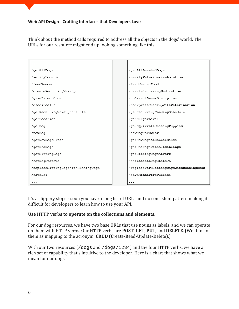Think about the method calls required to address all the objects in the dogs' world. The URLs for our resource might end up looking something like this.

| .                                  | .                                      |
|------------------------------------|----------------------------------------|
| /getAllDogs                        | /getAllLeashedDogs                     |
| /verifyLocation                    | /verifyVeterinarianLocation            |
| /feedNeeded                        | /feedNeededFood                        |
| /createRecurringWakeUp             | /createRecurringMedication             |
| /giveDirectOrder                   | /doDirectOwnerDiscipline               |
| /checkHealth                       | /doExpressCheckupWithVeterinarian      |
| /getRecurringWakeUpSchedule        | /getRecurringFeedingSchedule           |
| /getLocation                       | /getHungerLevel                        |
| /qetDoq                            | /qetSquirrelsChasingPuppies            |
| /newDog                            | /newDogForOwner                        |
| /getNewDogsSince                   | /getNewDogsAtKennelSince               |
| /getRedDogs                        | /qetRedDogsWithoutSiblings             |
| /getSittingDogs                    | /getSittingDogsAtPark                  |
| /setDogStateTo                     | /setLeashedDogStateTo                  |
| /replaceSittingDogsWithRunningDogs | /replaceParkSittingDogsWithRunningDogs |
| /saveDog                           | /saveMommaDogsPuppies                  |
| .                                  | .                                      |

It's a slippery slope - soon you have a long list of URLs and no consistent pattern making it difficult for developers to learn how to use your API.

#### **Use HTTP verbs to operate on the collections and elements.**

For our dog resources, we have two base URLs that use nouns as labels, and we can operate on them with HTTP verbs. Our HTTP verbs are **POST**, **GET**, **PUT**, and **DELETE**. (We think of them as mapping to the acronym, **CRUD** (**C**reate-**R**ead-**U**pdate-**D**elete).)

With our two resources (/dogs and /dogs/1234) and the four HTTP verbs, we have a rich set of capability that's intuitive to the developer. Here is a chart that shows what we mean for our dogs.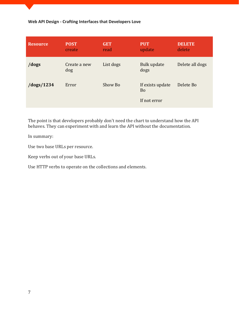| <b>Resource</b> | <b>POST</b><br>create | <b>GET</b><br>read | <b>PUT</b><br>update                          | <b>DELETE</b><br>delete |
|-----------------|-----------------------|--------------------|-----------------------------------------------|-------------------------|
| /dogs           | Create a new<br>dog   | List dogs          | Bulk update<br>dogs                           | Delete all dogs         |
| /dogs/1234      | Error                 | Show Bo            | If exists update<br><b>Bo</b><br>If not error | Delete Bo               |

The point is that developers probably don't need the chart to understand how the API behaves. They can experiment with and learn the API without the documentation.

In summary:

Use two base URLs per resource.

Keep verbs out of your base URLs.

Use HTTP verbs to operate on the collections and elements.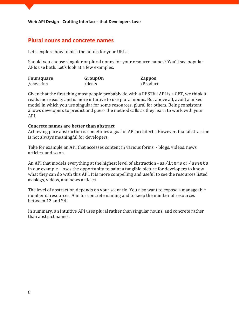## **Plural nouns and concrete names**

Let's explore how to pick the nouns for your URLs.

Should you choose singular or plural nouns for your resource names? You'll see popular APIs use both. Let's look at a few examples:

| <b>Foursquare</b> | <b>GroupOn</b> | <b>Zappos</b> |
|-------------------|----------------|---------------|
| /checkins         | /deals         | /Product      |

Given that the first thing most people probably do with a RESTful API is a GET, we think it reads more easily and is more intuitive to use plural nouns. But above all, avoid a mixed model in which you use singular for some resources, plural for others. Being consistent allows developers to predict and guess the method calls as they learn to work with your API.

#### **Concrete names are better than abstract**

Achieving pure abstraction is sometimes a goal of API architects. However, that abstraction is not always meaningful for developers.

Take for example an API that accesses content in various forms - blogs, videos, news articles, and so on.

An API that models everything at the highest level of abstraction - as /items or /assets in our example - loses the opportunity to paint a tangible picture for developers to know what they can do with this API. It is more compelling and useful to see the resources listed as blogs, videos, and news articles.

The level of abstraction depends on your scenario. You also want to expose a manageable number of resources. Aim for concrete naming and to keep the number of resources between 12 and 24.

In summary, an intuitive API uses plural rather than singular nouns, and concrete rather than abstract names.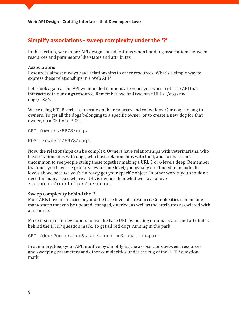## **Simplify associations - sweep complexity under the '?'**

In this section, we explore API design considerations when handling associations between resources and parameters like states and attributes.

#### **Associations**

Resources almost always have relationships to other resources. What's a simple way to express these relationships in a Web API?

Let's look again at the API we modeled in [nouns are good, verbs are bad -](http://blog.apigee.com/detail/restful_api_design_nouns_are_good_verbs_are_bad/) the API that interacts with our **dogs** resource. Remember, we had two base URLs: /dogs and dogs/1234.

We're using HTTP verbs to operate on the resources and collections. Our dogs belong to owners. To get all the dogs belonging to a specific owner, or to create a new dog for that owner, do a GET or a POST:

GET /owners/5678/dogs

POST /owners/5678/dogs

Now, the relationships can be complex. Owners have relationships with veterinarians, who have relationships with dogs, who have relationships with food, and so on. It's not uncommon to see people string these together making a URL 5 or 6 levels deep. Remember that once you have the primary key for one level, you usually don't need to include the levels above because you've already got your specific object. In other words, you shouldn't need too many cases where a URL is deeper than what we have above /resource/identifier/resource.

#### **Sweep complexity behind the '?'**

Most APIs have intricacies beyond the base level of a resource. Complexities can include many states that can be updated, changed, queried, as well as the attributes associated with a resource.

Make it simple for developers to use the base URL by putting optional states and attributes behind the HTTP question mark. To get all red dogs running in the park:

GET /dogs?color=red&state=running&location=park

In summary, keep your API intuitive by simplifying the associations between resources, and sweeping parameters and other complexities under the rug of the HTTP question mark.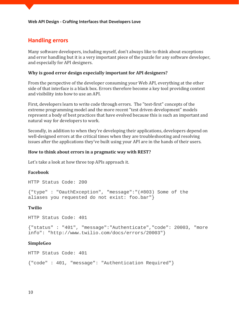## **Handling errors**

Many software developers, including myself, don't always like to think about exceptions and error handling but it is a very important piece of the puzzle for any software developer, and especially for API designers.

#### **Why is good error design especially important for API designers?**

From the perspective of the developer consuming your Web API, everything at the other side of that interface is a black box. Errors therefore become a key tool providing context and visibility into how to use an API.

First, developers learn to write code through errors. The "test-first" concepts of the extreme programming model and the more recent "test driven development" models represent a body of best practices that have evolved because this is such an important and natural way for developers to work.

Secondly, in addition to when they're developing their applications, developers depend on well-designed errors at the critical times when they are troubleshooting and resolving issues after the applications they've built using your API are in the hands of their users.

#### **How to think about errors in a pragmatic way with REST?**

Let's take a look at how three top APIs approach it.

#### **Facebook**

HTTP Status Code: 200

{"type" : "OauthException", "message":"(#803) Some of the aliases you requested do not exist: foo.bar"}

#### **Twilio**

HTTP Status Code: 401

{"status" : "401", "message":"Authenticate","code": 20003, "more info": "http://www.twilio.com/docs/errors/20003"}

#### **SimpleGeo**

HTTP Status Code: 401

{"code" : 401, "message": "Authentication Required"}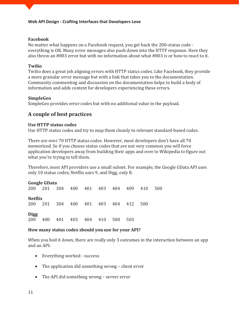#### **Facebook**

No matter what happens on a Facebook request, you get back the 200-status code everything is OK. Many error messages also push down into the HTTP response. Here they also throw an #803 error but with no information about what #803 is or how to react to it.

#### **Twilio**

Twilio does a great job aligning errors with HTTP status codes. Like Facebook, they provide a more granular error message but with a link that takes you to the documentation. Community commenting and discussion on the documentation helps to build a body of information and adds context for developers experiencing these errors.

#### **SimpleGeo**

SimpleGeo provides error codes but with no additional value in the payload.

## **A couple of best practices**

#### **Use HTTP status codes**

Use HTTP status codes and try to map them cleanly to relevant standard-based codes.

There are over 70 HTTP status codes. However, most developers don't have all 70 memorized. So if you choose status codes that are not very common you will force application developers away from building their apps and over to Wikipedia to figure out what you're trying to tell them.

Therefore, most API providers use a small subset. For example, the Google GData API uses only 10 status codes; Netflix uses 9, and Digg, only 8.

## **Google GData**

200 201 304 400 401 403 404 409 410 500 **Netflix** 200 201 304 400 401 403 404 412 500 **Digg** 

200 400 401 403 404 410 500 503

#### **How many status codes should you use for your API?**

When you boil it down, there are really only 3 outcomes in the interaction between an app and an API:

- Everything worked success
- The application did something wrong client error
- The API did something wrong server error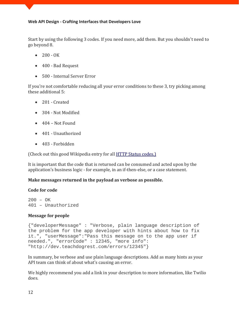Start by using the following 3 codes. If you need more, add them. But you shouldn't need to go beyond 8.

- $200 OK$
- 400 Bad Request
- 500 Internal Server Error

If you're not comfortable reducing all your error conditions to these 3, try picking among these additional 5:

- 201 Created
- 304 Not Modified
- 404 Not Found
- 401 Unauthorized
- 403 Forbidden

(Check out this good Wikipedia entry for all **HTTP Status codes.)** 

It is important that the code that is returned can be consumed and acted upon by the application's business logic - for example, in an if-then-else, or a case statement.

#### **Make messages returned in the payload as verbose as possible.**

#### **Code for code**

 $200 - OK$ 401 – Unauthorized

#### **Message for people**

```
{"developerMessage" : "Verbose, plain language description of 
the problem for the app developer with hints about how to fix 
it.", "userMessage":"Pass this message on to the app user if 
needed.", "errorCode" : 12345, "more info": 
"http://dev.teachdogrest.com/errors/12345"}
```
In summary, be verbose and use plain language descriptions. Add as many hints as your API team can think of about what's causing an error.

We highly recommend you add a link in your description to more information, like Twilio does.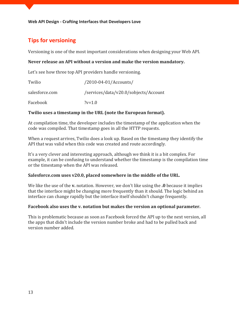## **Tips for versioning**

Versioning is one of the most important considerations when designing your Web API.

#### **Never release an API without a version and make the version mandatory.**

Let's see how three top API providers handle versioning.

| Twilio         | $/2010 - 04 - 01/A$ ccounts/          |
|----------------|---------------------------------------|
| salesforce.com | /services/data/v20.0/sobjects/Account |
| Facebook       | $?v=1.0$                              |

#### **Twilio uses a timestamp in the URL (note the European format).**

At compilation time, the developer includes the timestamp of the application when the code was compiled. That timestamp goes in all the HTTP requests.

When a request arrives, Twilio does a look up. Based on the timestamp they identify the API that was valid when this code was created and route accordingly.

It's a very clever and interesting approach, although we think it is a bit complex. For example, it can be confusing to understand whether the timestamp is the compilation time or the timestamp when the API was released.

#### **Salesforce.com uses v20.0, placed somewhere in the middle of the URL.**

We like the use of the **v.** notation. However, we don't like using the **.0** because it implies that the interface might be changing more frequently than it should. The logic behind an interface can change rapidly but the interface itself shouldn't change frequently.

#### **Facebook also uses the v. notation but makes the version an optional parameter.**

This is problematic because as soon as Facebook forced the API up to the next version, all the apps that didn't include the version number broke and had to be pulled back and version number added.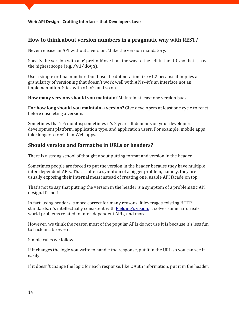### **How to think about version numbers in a pragmatic way with REST?**

Never release an API without a version. Make the version mandatory.

Specify the version with a **'v'** prefix. Move it all the way to the left in the URL so that it has the highest scope (e.g. **/**v1/dogs).

Use a simple ordinal number. Don't use the dot notation like v1.2 because it implies a granularity of versioning that doesn't work well with APIs--it's an interface not an implementation. Stick with v1, v2, and so on.

**How many versions should you maintain?** Maintain at least one version back.

**For how long should you maintain a version?** Give developers at least one cycle to react before obsoleting a version.

Sometimes that's 6 months; sometimes it's 2 years. It depends on your developers' development platform, application type, and application users. For example, mobile apps take longer to rev' than Web apps.

## **Should version and format be in URLs or headers?**

There is a strong school of thought about putting format and version in the header.

Sometimes people are forced to put the version in the header because they have multiple inter-dependent APIs. That is often a symptom of a bigger problem, namely, they are usually exposing their internal mess instead of creating one, usable API facade on top.

That's not to say that putting the version in the header is a symptom of a problematic API design. It's not!

In fact, using headers is more correct for many reasons: it leverages existing HTTP standards, it's intellectually consistent with [Fielding's vision,](http://www.ics.uci.edu/~fielding/pubs/dissertation/top.htm) it solves some hard realworld problems related to inter-dependent APIs, and more.

However, we think the reason most of the popular APIs do not use it is because it's less fun to hack in a browser.

Simple rules we follow:

If it changes the logic you write to handle the response, put it in the URL so you can see it easily.

If it doesn't change the logic for each response, like OAuth information, put it in the header.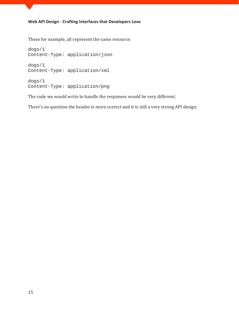These for example, all represent the same resource:

dogs/1 Content-Type: application/json dogs/1 Content-Type: application/xml dogs/1 Content-Type: application/png

The code we would write to handle the responses would be very different.

There's no question the header is more correct and it is still a very strong API design.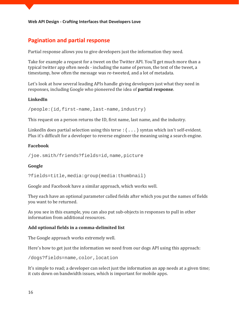## **Pagination and partial response**

Partial response allows you to [give developers just the information they need.](http://blog.apigee.com/detail/restful_api_design_can_your_api_give_developers_just_the_information/)

Take for example a request for a tweet on the Twitter API. You'll get much more than a typical twitter app often needs - including the name of person, the text of the tweet, a timestamp, how often the message was re-tweeted, and a lot of metadata.

Let's look at how several leading APIs handle giving developers just what they need in responses, including Google who pioneered the idea of **partial response**.

#### **LinkedIn**

/people:(id,first-name,last-name,industry)

This request on a person returns the ID, first name, last name, and the industry.

LinkedIn does partial selection using this terse  $:(\ldots)$  syntax which isn't self-evident. Plus it's difficult for a developer to reverse engineer the meaning using a search engine.

#### **Facebook**

/joe.smith/friends?fields=id,name,picture

#### **Google**

?fields=title,media:group(media:thumbnail)

Google and Facebook have a similar approach, which works well.

They each have an optional parameter called fields after which you put the names of fields you want to be returned.

As you see in this example, you can also put sub-objects in responses to pull in other information from additional resources.

#### **Add optional fields in a comma-delimited list**

The Google approach works extremely well.

Here's how to get just the information we need from our dogs API using this approach:

/dogs?fields=name,color,location

It's simple to read; a developer can select just the information an app needs at a given time; it cuts down on bandwidth issues, which is important for mobile apps.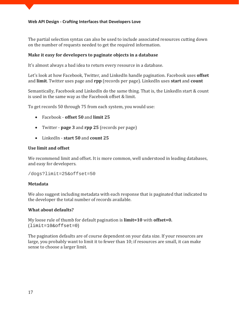The partial selection syntax can also be used to include associated resources cutting down on the number of requests needed to get the required information.

#### **Make it easy for developers to paginate objects in a database**

It's almost always a bad idea to return every resource in a database.

Let's look at how Facebook, Twitter, and LinkedIn handle pagination. Facebook uses **offset** and **limit**. Twitter uses page and **rpp** (records per page). LinkedIn uses **start** and **count**

Semantically, Facebook and LinkedIn do the same thing. That is, the LinkedIn start & count is used in the same way as the Facebook offset & limit.

To get records 50 through 75 from each system, you would use:

- Facebook **offset 50** and **limit 25**
- Twitter **page 3** and **rpp 25** (records per page)
- LinkedIn **start 50** and **count 25**

#### **Use limit and offset**

We recommend limit and offset. It is more common, well understood in leading databases, and easy for developers.

/dogs?limit=25&offset=50

#### **Metadata**

We also suggest including metadata with each response that is paginated that indicated to the developer the total number of records available.

#### **What about defaults?**

My loose rule of thumb for default pagination is **limit=10** with **offset=0.** (limit=10&offset=0)

The pagination defaults are of course dependent on your data size. If your resources are large, you probably want to limit it to fewer than 10; if resources are small, it can make sense to choose a larger limit.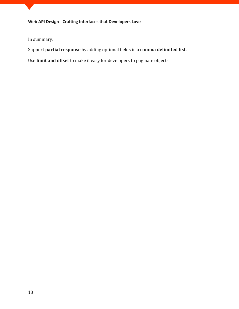In summary:

Support **partial response** by adding optional fields in a **comma delimited list.**

Use **limit and offset** to make it easy for developers to paginate objects.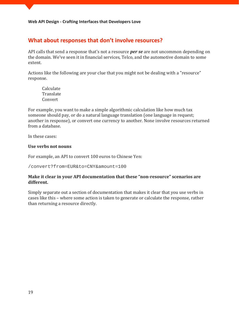## **What about responses that don't involve resources?**

API calls that send a response that's not a resource *per se* are not uncommon depending on the domain. We've seen it in financial services, Telco, and the automotive domain to some extent.

Actions like the following are your clue that you might not be dealing with a "resource" response.

Calculate **Translate** Convert

For example, you want to make a simple algorithmic calculation like how much tax someone should pay, or do a natural language translation (one language in request; another in response), or convert one currency to another. None involve resources returned from a database.

In these cases:

#### **Use verbs not nouns**

For example, an API to convert 100 euros to Chinese Yen:

/convert?from=EUR&to=CNY&amount=100

#### **Make it clear in your API documentation that these "non-resource" scenarios are different.**

Simply separate out a section of documentation that makes it clear that you use verbs in cases like this – where some action is taken to generate or calculate the response, rather than returning a resource directly.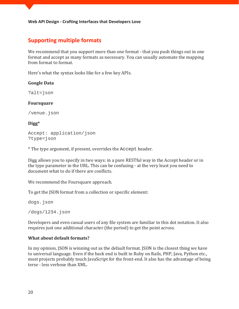## **Supporting multiple formats**

We recommend that you support more than one format - that you push things out in one format and accept as many formats as necessary. You can usually automate the mapping from format to format.

Here's what the syntax looks like for a few key APIs.

#### **Google Data**

?alt=json

#### **Foursquare**

/venue.json

#### **Digg\***

```
Accept: application/json
?type=json
```
\* The type argument, if present, overrides the Accept header.

Digg allows you to specify in two ways: in a pure RESTful way in the Accept header or in the type parameter in the URL. This can be confusing - at the very least you need to document what to do if there are conflicts.

We recommend the Foursquare approach.

To get the JSON format from a collection or specific element:

dogs.json

/dogs/1234.json

Developers and even casual users of any file system are familiar to this dot notation. It also requires just one additional character (the period) to get the point across.

#### **What about default formats?**

In my opinion, JSON is winning out as the default format. JSON is the closest thing we have to universal language. Even if the back end is built in Ruby on Rails, PHP, Java, Python etc., most projects probably touch JavaScript for the front-end. It also has the advantage of being terse - less verbose than XML.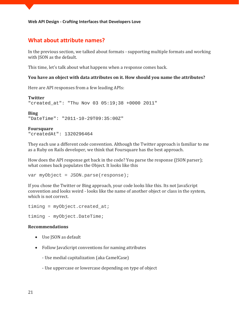## **What about attribute names?**

In the previous section, we talked about formats - [supporting multiple formats](http://blog.apigee.com/detail/restful_api_design_support_multiple_formats/) and working with JSON as the default.

This time, let's talk about what happens when a response comes back.

#### **You have an object with data attributes on it. How should you name the attributes?**

Here are API responses from a few leading APIs:

**Twitter** "created\_at": "Thu Nov 03 05:19;38 +0000 2011"

**Bing** "DateTime": "2011-10-29T09:35:00Z"

**Foursquare**

"createdAt": 1320296464

They each use a different code convention. Although the Twitter approach is familiar to me as a Ruby on Rails developer, we think that Foursquare has the best approach.

How does the API response get back in the code? You parse the response (JSON parser); what comes back populates the Object. It looks like this

var myObject = JSON.parse(response);

If you chose the Twitter or Bing approach, your code looks like this. Its not JavaScript convention and looks weird - looks like the name of another object or class in the system, which is not correct.

timing =  $myObject.create$ timing - myObject.DateTime;

#### **Recommendations**

- Use JSON as default
- Follow JavaScript conventions for naming attributes
	- Use medial capitalization (aka CamelCase)
	- Use uppercase or lowercase depending on type of object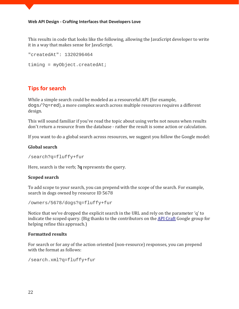This results in code that looks like the following, allowing the JavaScript developer to write it in a way that makes sense for JavaScript.

```
"createdAt": 1320296464
timing = myObject.createdAt;
```
## **Tips for search**

While a simple search could be modeled as a resourceful API (for example, dogs/?q=red), a more complex search across multiple resources requires a different design.

This will sound familiar if you've read the topic about using verbs not nouns when results don't return a resource from the database - rather the result is some action or calculation.

If you want to do a global search across resources, we suggest you follow the Google model:

#### **Global search**

/search?q=fluffy+fur

Here, search is the verb; **?q** represents the query.

#### **Scoped search**

To add scope to your search, you can prepend with the scope of the search. For example, search in dogs owned by resource ID 5678

/owners/5678/dogs?q=fluffy+fur

Notice that we've dropped the explicit search in the URL and rely on the parameter 'q' to indicate the scoped query. (Big thanks to the contributors on the [API Craft](https://groups.google.com/forum/?fromgroups#!topic/api-craft/hXYPmlgFTQQ) Google group for helping refine this approach.)

#### **Formatted results**

For search or for any of the action oriented (non-resource) responses, you can prepend with the format as follows:

/search.xml?q=fluffy+fur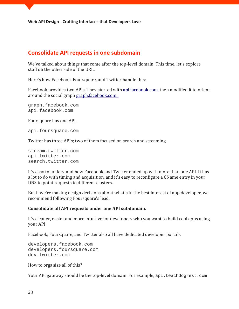## **Consolidate API requests in one subdomain**

We've talked about things that come after the top-level domain. This time, let's explore stuff on the other side of the URL.

Here's how Facebook, Foursquare, and Twitter handle this:

Facebook provides two APIs. They started with [api.facebook.com,](http://api.facebook.com/) then modified it to orient around the social graph [graph.facebook.com.](http://graph.facebook.com/)

[graph.facebook.com](http://api.facebook.com/) [api.facebook.com](http://api.facebook.com/)

Foursquare has one API.

[api.foursquare.com](http://api.foursquare.com/)

Twitter has three APIs; two of them focused on search and streaming[.](http://search.twitter.com/)

[stream.twitter.com](http://search.twitter.com/) [api.twitter.com](http://search.twitter.com/) [search.twitter.com](http://search.twitter.com/)

It's easy to understand how Facebook and Twitter ended up with more than one API. It has a lot to do with timing and acquisition, and it's easy to reconfigure a CName entry in your DNS to point requests to different clusters.

But if we're making design decisions about what's in the best interest of app developer, we recommend following Foursquare's lead:

#### **Consolidate all API requests under one API subdomain.**

It's cleaner, easier and more intuitive for developers who you want to build cool apps using your API.

Facebook, Foursquare, and Twitter also all have dedicated developer portals.

[developers.facebook.com](http://developers.facebook.com/) [developers.foursquare.com](http://developers.foursquare.com/) [dev.twitter.com](http://dev.twitter.com/)

How to organize all of this?

Your API gateway should be the top-level domain. For example, [api.teachdogrest.com](http://api.teachdogrest.com/)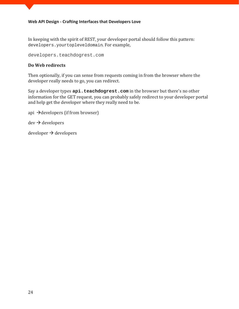In keeping with the spirit of REST, your developer portal should follow this pattern: developers.yourtopleveldomain. For example,

[developers.teachdogrest.com](http://developers.teachdogrest.com/)

#### **Do Web redirects**

Then optionally, if you can sense from requests coming in from the browser where the developer really needs to go, you can redirect.

Say a developer types  $api$ . teachdogrest.com in the browser but there's no other information for the GET request, you can probably safely redirect to your developer portal and help get the developer where they really need to be.

```
api \rightarrow developers (if from browser)
```
 $dev \rightarrow developers$ 

 $developer \rightarrow developers$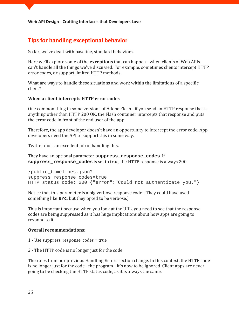## **[Tips for handling exceptional behavior](http://blog.apigee.com/detail/restful_api_design_tips_for_handling_exceptional_behavior/)**

So far, we've dealt with baseline, standard behaviors.

Here we'll explore some of the **exceptions** that can happen - when clients of Web APIs can't handle all the things we've discussed. For example, sometimes clients intercept HTTP error codes, or support limited HTTP methods.

What are ways to handle these situations and work within the limitations of a specific client?

#### **When a client intercepts HTTP error codes**

One common thing in some versions of Adobe Flash - if you send an HTTP response that is anything other than HTTP 200 OK, the Flash container intercepts that response and puts the error code in front of the end user of the app.

Therefore, the app developer doesn't have an opportunity to intercept the error code. App developers need the API to support this in some way.

Twitter does an excellent job of handling this.

They have an optional parameter **suppress\_response\_codes**. If **suppress\_response\_codes** is set to true, the HTTP response is always 200.

```
/public_timelines.json?
suppress_response_codes=true
HTTP status code: 200 {"error":"Could not authenticate you."}
```
Notice that this parameter is a big verbose response code. (They could have used something like **src**, but they opted to be verbose.)

This is important because when you look at the URL, you need to see that the response codes are being suppressed as it has huge implications about how apps are going to respond to it.

#### **Overall recommendations:**

- 1 Use suppress\_response\_codes = true
- 2 The HTTP code is no longer just for the code

The rules from our previous Handling Errors section change. In this context, the HTTP code is no longer just for the code - the program - it's now to be ignored. Client apps are never going to be checking the HTTP status code, as it is always the same.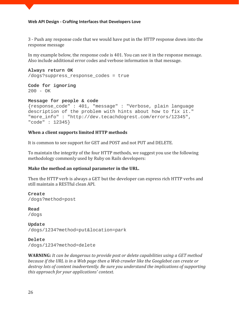3 - Push any response code that we would have put in the HTTP response down into the response message

In my example below, the response code is 401. You can see it in the response message. Also include additional error codes and verbose information in that message.

**Always return OK** /dogs?suppress\_response\_codes = true

**Code for ignoring** 200 - OK

#### **Message for people & code**

```
{response_code" : 401, "message" : "Verbose, plain language 
description of the problem with hints about how to fix it."
"more_info" : "http://dev.tecachdogrest.com/errors/12345", 
"code" : 12345}
```
#### **When a client supports limited HTTP methods**

It is common to see support for GET and POST and not PUT and DELETE.

To maintain the integrity of the four HTTP methods, we suggest you use the following methodology commonly used by Ruby on Rails developers:

#### **Make the method an optional parameter in the URL.**

Then the HTTP verb is always a GET but the developer can express rich HTTP verbs and still maintain a RESTful clean API.

**Create** /dogs?method=post

**Read** /dogs

**Update** /dogs/1234?method=put&location=park

**Delete** /dogs/1234?method=delete

**WARNING:** *It can be dangerous to provide post or delete capabilities using a GET method because if the URL is in a Web page then a Web crawler like the Googlebot can create or destroy lots of content inadvertently. Be sure you understand the implications of supporting this approach for your applications' context.*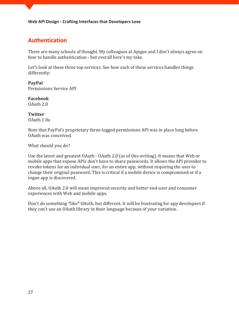## **[Authentication](http://blog.apigee.com/detail/restful_api_design_authentication/)**

There are many schools of thought. My colleagues at Apigee and I don't always agree on how to handle authentication - but overall here's my take.

Let's look at these three top services. See how each of these services handles things differently:

**PayPal** Permissions Service API

**Facebook** OAuth 2.0

**Twitter** OAuth 1.0a

Note that PayPal's proprietary three-legged permissions API was in place long before OAuth was conceived.

What should you do?

Use the latest and greatest OAuth - OAuth 2.0 (as of this writing). It means that Web or mobile apps that expose APIs don't have to share passwords. It allows the API provider to revoke tokens for an individual user, for an entire app, without requiring the user to change their original password. This is critical if a mobile device is compromised or if a rogue app is discovered.

Above all, OAuth 2.0 will mean improved security and better end-user and consumer experiences with Web and mobile apps.

Don't do something \*like\* OAuth, but different. It will be frustrating for app developers if they can't use an OAuth library in their language because of your variation.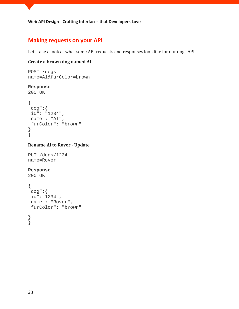## **[Making requests on your API](http://blog.apigee.com/detail/restful_api_design_making_requests/)**

Lets take a look at what some API requests and responses look like for our dogs API.

## **Create a brown dog named Al**

```
POST /dogs
name=Al&furColor=brown
```
#### **Response**

```
200 OK
```

```
{
"dog":{
"id": "1234",
"name": "Al",
"furColor": "brown"
}
\left\{ \right\}
```
#### **Rename Al to Rover - Update**

```
PUT /dogs/1234
name=Rover
```
#### **Response**

200 OK

```
{
"dog":{
"id":"1234",
"name": "Rover",
"furColor": "brown"
```
}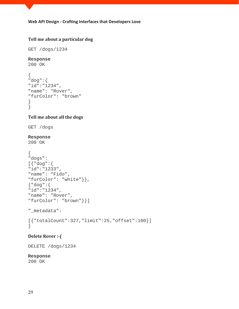## **Tell me about a particular dog**

GET /dogs/1234

#### **Response**

```
200 OK
```

```
{
"dog":{
"id":"1234",
"name": "Rover",
"furColor": "brown"
}
}
```
#### **Tell me about all the dogs**

GET /dogs

#### **Response**

```
200 OK
```

```
{
"dogs":
[{"dog":{
"id":"1233",
"name": "Fido",
"furColor": "white"}},
{"dog":{
"id":"1234",
"name": "Rover",
"furColor": "brown"}}]
"_metadata":
[{"totalCount":327,"limit":25,"offset":100}]
}
```
#### **Delete Rover :-(**

DELETE /dogs/1234

#### **Response**

200 OK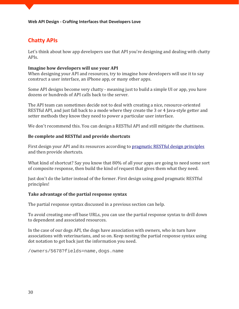## **Chatty APIs**

Let's think about how app developers use that API you're designing and dealing with chatty APIs.

#### **Imagine how developers will use your API**

When designing your API and resources, try to imagine how developers will use it to say construct a user interface, an iPhone app, or many other apps.

Some API designs become very chatty - meaning just to build a simple UI or app, you have dozens or hundreds of API calls back to the server.

The API team can sometimes decide not to deal with creating a nice, resource-oriented RESTful API, and just fall back to a mode where they create the 3 or 4 Java-style getter and setter methods they know they need to power a particular user interface.

We don't recommend this. You can design a RESTful API and still mitigate the chattiness.

#### **Be complete and RESTful and provide shortcuts**

First design your API and its resources according to [pragmatic RESTful design principles](http://blog.apigee.com/taglist/restful) and then provide shortcuts.

What kind of shortcut? Say you know that 80% of all your apps are going to need some sort of composite response, then build the kind of request that gives them what they need.

Just don't do the latter instead of the former. First design using good pragmatic RESTful principles!

#### **Take advantage of the partial response syntax**

The partial response syntax discussed in a previous section can help.

To avoid creating one-off base URLs, you can use the partial response syntax to drill down to dependent and associated resources.

In the case of our dogs API, the dogs have association with owners, who in turn have associations with veterinarians, and so on. Keep nesting the partial response syntax using dot notation to get back just the information you need.

/owners/5678?fields=name,dogs.name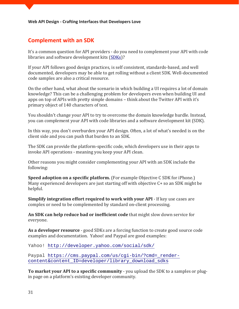## **Complement with an SDK**

It's a common question for API providers - do you need to complement your API with code libraries and software development kits [\(SDKs\)](http://en.wikipedia.org/wiki/Software_development_kit)?

If your API follows good design practices, is self consistent, standards-based, and well documented, developers may be able to get rolling without a client SDK. Well-documented code samples are also a critical resource.

On the other hand, what about the scenario in which building a UI requires a lot of domain knowledge? This can be a challenging problem for developers even when building UI and apps on top of APIs with pretty simple domains – think about the Twitter API with it's primary object of 140 characters of text.

You shouldn't change your API to try to overcome the domain knowledge hurdle. Instead, you can complement your API with code libraries and a software development kit (SDK).

In this way, you don't overburden your API design. Often, a lot of what's needed is on the client side and you can push that burden to an SDK.

The SDK can provide the platform-specific code, which developers use in their apps to invoke API operations - meaning you keep your API clean.

Other reasons you might consider complementing your API with an SDK include the following:

**Speed adoption on a specific platform.** (For example Objective C SDK for iPhone.) Many experienced developers are just starting off with objective C+ so an SDK might be helpful.

**Simplify integration effort required to work with your API** - If key use cases are complex or need to be complemented by standard on-client processing.

**An SDK can help reduce bad or inefficient code** that might slow down service for everyone.

**As a developer resource** - good SDKs are a forcing function to create good source code examples and documentation. Yahoo! and Paypal are good examples:

Yahoo!<http://developer.yahoo.com/social/sdk/>

Paypal [https://cms.paypal.com/us/cgi-bin/?cmd=\\_render](https://cms.paypal.com/us/cgi-bin/?cmd=_render-content&content_ID=developer/library_download_sdks)[content&content\\_ID=developer/library\\_download\\_sdks](https://cms.paypal.com/us/cgi-bin/?cmd=_render-content&content_ID=developer/library_download_sdks)

**To market your API to a specific community** - you upload the SDK to a samples or plugin page on a platform's existing developer community.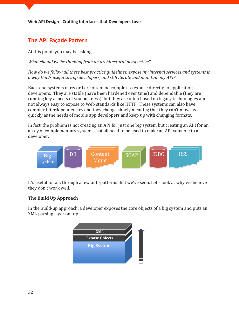## **The API Façade Pattern**

At this point, you may be asking -

*What should we be thinking from an architectural perspective?* 

*How do we follow all these best practice guidelines, expose my internal services and systems in a way that's useful to app developers, and still iterate and maintain my API?*

Back-end systems of record are often too complex to expose directly to application developers. They are stable (have been hardened over time) and dependable (they are running key aspects of you business), but they are often based on legacy technologies and not always easy to expose to Web standards like HTTP. These systems can also have complex interdependencies and they change slowly meaning that they can't move as quickly as the needs of mobile app developers and keep up with changing formats.

In fact, the problem is not creating an API for just one big system but creating an API for an array of complementary systems that all need to be used to make an API valuable to a developer.



It's useful to talk through a few anti-patterns that we've seen. Let's look at why we believe they don't work well.

#### **The Build Up Approach**

In the build-up approach, a developer exposes the core objects of a big system and puts an XML parsing layer on top.

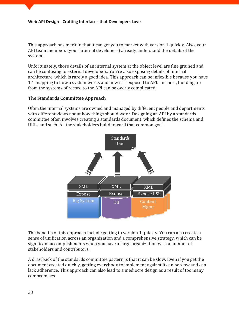This approach has merit in that it can get you to market with version 1 quickly. Also, your API team members (your internal developers) already understand the details of the system.

Unfortunately, those details of an internal system at the object level are fine grained and can be confusing to external developers. You're also exposing details of internal architecture, which is rarely a good idea. This approach can be inflexible because you have 1:1 mapping to how a system works and how it is exposed to API. In short, building up from the systems of record to the API can be overly complicated.

#### **The Standards Committee Approach**

Often the internal systems are owned and managed by different people and departments with different views about how things should work. Designing an API by a standards committee often involves creating a standards document, which defines the schema and URLs and such. All the stakeholders build toward that common goal.



The benefits of this approach include getting to version 1 quickly. You can also create a sense of unification across an organization and a comprehensive strategy, which can be significant accomplishments when you have a large organization with a number of stakeholders and contributors.

A drawback of the standards committee pattern is that it can be slow. Even if you get the document created quickly, getting everybody to implement against it can be slow and can lack adherence. This approach can also lead to a mediocre design as a result of too many compromises.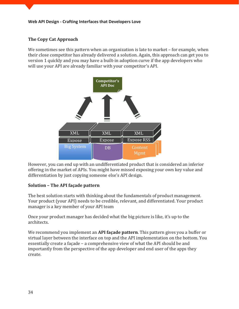#### **The Copy Cat Approach**

We sometimes see this pattern when an organization is late to market – for example, when their close competitor has already delivered a solution. Again, this approach can get you to version 1 quickly and you may have a built-in adoption curve if the app developers who will use your API are already familiar with your competitor's API.



However, you can end up with an undifferentiated product that is considered an inferior offering in the market of APIs. You might have missed exposing your own key value and differentiation by just copying someone else's API design.

#### **Solution – The API façade pattern**

The best solution starts with thinking about the fundamentals of product management. Your product (your API) needs to be credible, relevant, and differentiated. Your product manager is a key member of your API team

Once your product manager has decided what the big picture is like, it's up to the architects.

We recommend you implement an **API façade pattern**. This pattern gives you a buffer or virtual layer between the interface on top and the API implementation on the bottom. You essentially create a façade – a comprehensive view of what the API should be and importantly from the perspective of the app developer and end user of the apps they create.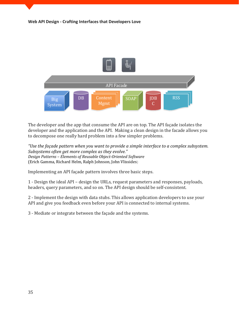

The developer and the app that consume the API are on top. The API façade isolates the developer and the application and the API. Making a clean design in the facade allows you to decompose one really hard problem into a few simpler problems.

*"Use the façade pattern when you want to provide a simple interface to a complex subsystem. Subsystems often get more complex as they evolve." Design Patterns – Elements of Reusable Object-Oriented Software* (Erich Gamma, Richard Helm, Ralph Johnson, John Vlissides)

Implementing an API façade pattern involves three basic steps.

1 - Design the ideal API – design the URLs, request parameters and responses, payloads, headers, query parameters, and so on. The API design should be self-consistent.

2 - Implement the design with data stubs. This allows application developers to use your API and give you feedback even before your API is connected to internal systems.

3 - Mediate or integrate between the façade and the systems.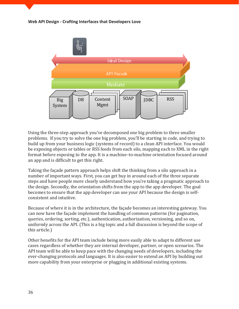

Using the three-step approach you've decomposed one big problem to three smaller problems. If you try to solve the one big problem, you'll be starting in code, and trying to build up from your business logic (systems of record) to a clean API interface. You would be exposing objects or tables or RSS feeds from each silo, mapping each to XML in the right format before exposing to the app. It is a machine–to-machine orientation focused around an app and is difficult to get this right.

Taking the façade pattern approach helps shift the thinking from a silo approach in a number of important ways. First, you can get buy in around each of the three separate steps and have people more clearly understand how you're taking a pragmatic approach to the design. Secondly, the orientation shifts from the app to the app developer. The goal becomes to ensure that the app developer can use your API because the design is selfconsistent and intuitive.

Because of where it is in the architecture, the façade becomes an interesting gateway. You can now have the façade implement the handling of common patterns (for pagination, queries, ordering, sorting, etc.), authentication, authorization, versioning, and so on, uniformly across the API. (This is a big topic and a full discussion is beyond the scope of this article.)

Other benefits for the API team include being more easily able to adapt to different use cases regardless of whether they are internal developer, partner, or open scenarios. The API team will be able to keep pace with the changing needs of developers, including the ever-changing protocols and languages. It is also easier to extend an API by building out more capability from your enterprise or plugging in additional existing systems.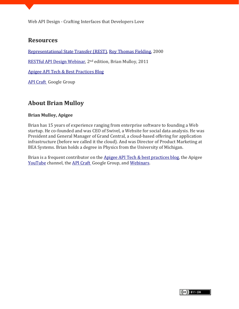## **Resources**

[Representational State Transfer \(REST\),](http://www.ics.uci.edu/~fielding/pubs/dissertation/rest_arch_style.htm) [Roy Thomas Fielding,](http://www.ics.uci.edu/~fielding/) 2000

[RESTful API Design Webinar,](http://blog.apigee.com/detail/slides_for_restful_api_design_second_edition_webinar/) 2nd edition, Brian Mulloy, 2011

[Apigee API Tech & Best Practices Blog](http://blog.apigee.com/)

[API Craft](http://groups.google.com/group/api-craft/) Google Group

## **About Brian Mulloy**

#### **Brian Mulloy, Apigee**

Brian has 15 years of experience ranging from enterprise software to founding a Web startup. He co-founded and was CEO of Swivel, a Website for social data analysis. He was President and General Manager of Grand Central, a cloud-based offering for application infrastructure (before we called it the cloud). And was Director of Product Marketing at BEA Systems. Brian holds a degree in Physics from the University of Michigan.

Brian is a frequent contributor on the [Apigee API Tech & best practices blog,](http://blog.apigee.com/) the Apigee [YouTube](http://www.youtube.com/apigee) channel, the [API Craft](http://groups.google.com/group/api-craft/) Google Group, and [Webinars.](http://blog.apigee.com/taglist/webinar)